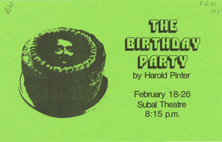Feb 18



February 18-26 **Subal Theatre** 8:15 p.m.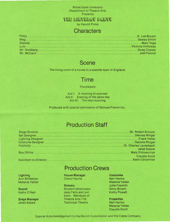Boise State University Department of Theatre Arts Presents

**THE EIRTHDAY DARTY** 

by Harold Pinter

#### **Characters**

#### **Scene**

The living room of a house in a seaside town in England.

### **Time**

The present

Act 1: A morning in summer Act II: Evening of the same day Act III: The next morning

Produced with special permission of Samuel French Inc.

# **Production Staff**

| Janet Eskew          |
|----------------------|
| <b>Claudia Scott</b> |
|                      |

# **Production Crews**

**Lighting**  Ann Bittleston Melanie Yellan

**Sound**  Kathy O'Neil

**Stage Manager**  Janet Eskew

#### **House Manager**  Cheryl Hurrle

**Scenery**  Student employees: Jess Paris and Jon Irwin. Members of Theatre Arts 118: Technical Theatre

- **Costumes**  Nan Harms Melanie Yellan Julia Franklin Gerry Bryant Kathy Powell
- **Properties**  Nan Harms Melanie Yellan Claudia Scott

Special Acknowledgement to the Bench Commission and the Coble Company .